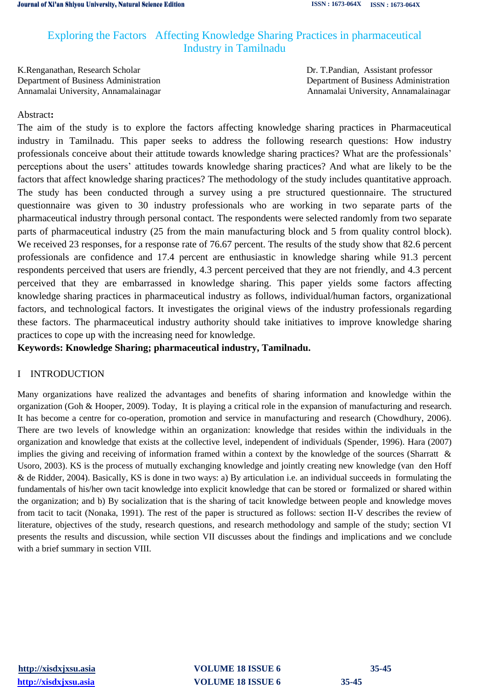# Exploring the Factors Affecting Knowledge Sharing Practices in pharmaceutical Industry in Tamilnadu

K.Renganathan, Research Scholar Dr. T.Pandian, Assistant professor Department of Business Administration Department of Business Administration Annamalai University, Annamalainagar Annamalai University, Annamalainagar

# Abstract**:**

The aim of the study is to explore the factors affecting knowledge sharing practices in Pharmaceutical industry in Tamilnadu. This paper seeks to address the following research questions: How industry professionals conceive about their attitude towards knowledge sharing practices? What are the professionals' perceptions about the users' attitudes towards knowledge sharing practices? And what are likely to be the factors that affect knowledge sharing practices? The methodology of the study includes quantitative approach. The study has been conducted through a survey using a pre structured questionnaire. The structured questionnaire was given to 30 industry professionals who are working in two separate parts of the pharmaceutical industry through personal contact. The respondents were selected randomly from two separate parts of pharmaceutical industry (25 from the main manufacturing block and 5 from quality control block). We received 23 responses, for a response rate of 76.67 percent. The results of the study show that 82.6 percent professionals are confidence and 17.4 percent are enthusiastic in knowledge sharing while 91.3 percent respondents perceived that users are friendly, 4.3 percent perceived that they are not friendly, and 4.3 percent perceived that they are embarrassed in knowledge sharing. This paper yields some factors affecting knowledge sharing practices in pharmaceutical industry as follows, individual/human factors, organizational factors, and technological factors. It investigates the original views of the industry professionals regarding these factors. The pharmaceutical industry authority should take initiatives to improve knowledge sharing practices to cope up with the increasing need for knowledge.

# **Keywords: Knowledge Sharing; pharmaceutical industry, Tamilnadu.**

# I INTRODUCTION

Many organizations have realized the advantages and benefits of sharing information and knowledge within the organization (Goh & Hooper, 2009). Today, It is playing a critical role in the expansion of manufacturing and research. It has become a centre for co-operation, promotion and service in manufacturing and research (Chowdhury, 2006). There are two levels of knowledge within an organization: knowledge that resides within the individuals in the organization and knowledge that exists at the collective level, independent of individuals (Spender, 1996). Hara (2007) implies the giving and receiving of information framed within a context by the knowledge of the sources (Sharratt & Usoro, 2003). KS is the process of mutually exchanging knowledge and jointly creating new knowledge (van den Hoff & de Ridder, 2004). Basically, KS is done in two ways: a) By articulation i.e. an individual succeeds in formulating the fundamentals of his/her own tacit knowledge into explicit knowledge that can be stored or formalized or shared within the organization; and b) By socialization that is the sharing of tacit knowledge between people and knowledge moves from tacit to tacit (Nonaka, 1991). The rest of the paper is structured as follows: section II-V describes the review of literature, objectives of the study, research questions, and research methodology and sample of the study; section VI presents the results and discussion, while section VII discusses about the findings and implications and we conclude with a brief summary in section VIII.

**[http://xisdxjxsu.asia](http://xisdxjxsu.asia/) VOLUME 18 ISSUE 6 35-45 [http://xisdxjxsu.asia](http://xisdxjxsu.asia/) VOLUME 18 ISSUE 6 35-45**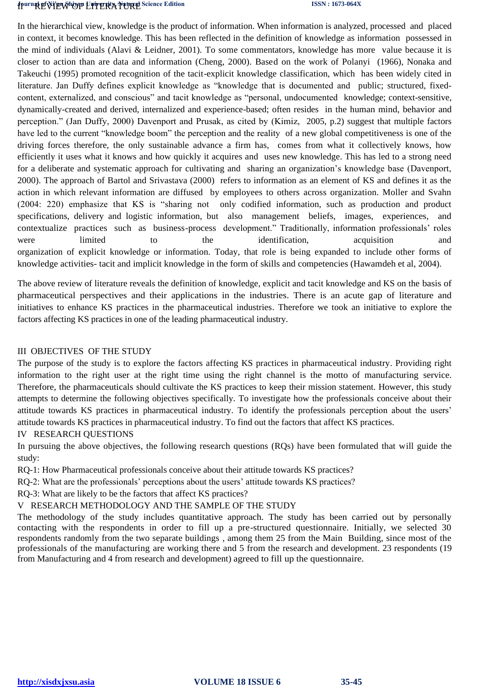# **Journal of Xi'an Shipop University, Natural** Science Edition **ISSN : 1673-064X**

In the hierarchical view, knowledge is the product of information. When information is analyzed, processed and placed in context, it becomes knowledge. This has been reflected in the definition of knowledge as information possessed in the mind of individuals (Alavi & Leidner, 2001). To some commentators, knowledge has more value because it is closer to action than are data and information (Cheng, 2000). Based on the work of Polanyi (1966), Nonaka and Takeuchi (1995) promoted recognition of the tacit-explicit knowledge classification, which has been widely cited in literature. Jan Duffy defines explicit knowledge as "knowledge that is documented and public; structured, fixedcontent, externalized, and conscious" and tacit knowledge as "personal, undocumented knowledge; context-sensitive, dynamically-created and derived, internalized and experience-based; often resides in the human mind, behavior and perception." (Jan Duffy, 2000) Davenport and Prusak, as cited by (Kimiz, 2005, p.2) suggest that multiple factors have led to the current "knowledge boom" the perception and the reality of a new global competitiveness is one of the driving forces therefore, the only sustainable advance a firm has, comes from what it collectively knows, how efficiently it uses what it knows and how quickly it acquires and uses new knowledge. This has led to a strong need for a deliberate and systematic approach for cultivating and sharing an organization's knowledge base (Davenport, 2000). The approach of Bartol and Srivastava (2000) refers to information as an element of KS and defines it as the action in which relevant information are diffused by employees to others across organization. Moller and Svahn (2004: 220) emphasize that KS is "sharing not only codified information, such as production and product specifications, delivery and logistic information, but also management beliefs, images, experiences, and contextualize practices such as business-process development." Traditionally, information professionals' roles were limited to the identification, acquisition and organization of explicit knowledge or information. Today, that role is being expanded to include other forms of knowledge activities- tacit and implicit knowledge in the form of skills and competencies (Hawamdeh et al, 2004).

The above review of literature reveals the definition of knowledge, explicit and tacit knowledge and KS on the basis of pharmaceutical perspectives and their applications in the industries. There is an acute gap of literature and initiatives to enhance KS practices in the pharmaceutical industries. Therefore we took an initiative to explore the factors affecting KS practices in one of the leading pharmaceutical industry.

# III OBJECTIVES OF THE STUDY

The purpose of the study is to explore the factors affecting KS practices in pharmaceutical industry. Providing right information to the right user at the right time using the right channel is the motto of manufacturing service. Therefore, the pharmaceuticals should cultivate the KS practices to keep their mission statement. However, this study attempts to determine the following objectives specifically. To investigate how the professionals conceive about their attitude towards KS practices in pharmaceutical industry. To identify the professionals perception about the users' attitude towards KS practices in pharmaceutical industry. To find out the factors that affect KS practices.

# IV RESEARCH QUESTIONS

In pursuing the above objectives, the following research questions (RQs) have been formulated that will guide the study:

RQ-1: How Pharmaceutical professionals conceive about their attitude towards KS practices?

RQ-2: What are the professionals' perceptions about the users' attitude towards KS practices?

RQ-3: What are likely to be the factors that affect KS practices?

V RESEARCH METHODOLOGY AND THE SAMPLE OF THE STUDY

The methodology of the study includes quantitative approach. The study has been carried out by personally contacting with the respondents in order to fill up a pre-structured questionnaire. Initially, we selected 30 respondents randomly from the two separate buildings , among them 25 from the Main Building, since most of the professionals of the manufacturing are working there and 5 from the research and development. 23 respondents (19 from Manufacturing and 4 from research and development) agreed to fill up the questionnaire.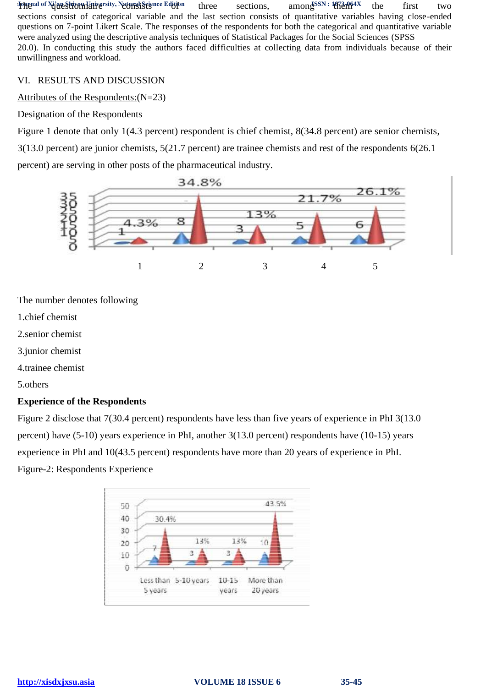**Journal of Xi'an Shiyou University, Natural Science Edition** three sections, among SSN: 1673-064X the first two sections consist of categorical variable and the last section consists of quantitative variables having close-ended questions on 7-point Likert Scale. The responses of the respondents for both the categorical and quantitative variable were analyzed using the descriptive analysis techniques of Statistical Packages for the Social Sciences (SPSS 20.0). In conducting this study the authors faced difficulties at collecting data from individuals because of their unwillingness and workload.

# VI. RESULTS AND DISCUSSION

# Attributes of the Respondents:(N=23)

Designation of the Respondents

Figure 1 denote that only 1(4.3 percent) respondent is chief chemist, 8(34.8 percent) are senior chemists, 3(13.0 percent) are junior chemists, 5(21.7 percent) are trainee chemists and rest of the respondents 6(26.1 percent) are serving in other posts of the pharmaceutical industry.



The number denotes following

- 1.chief chemist
- 2.senior chemist
- 3.junior chemist
- 4.trainee chemist

5.others

# **Experience of the Respondents**

Figure 2 disclose that 7(30.4 percent) respondents have less than five years of experience in PhI 3(13.0 percent) have (5-10) years experience in PhI, another 3(13.0 percent) respondents have (10-15) years experience in PhI and 10(43.5 percent) respondents have more than 20 years of experience in PhI. Figure-2: Respondents Experience

| 50          |                      |           | 43.5%     |
|-------------|----------------------|-----------|-----------|
| 40<br>30.4% |                      |           |           |
| 30          |                      |           |           |
| 20          | 13%                  | 13%       | 10        |
| 10          | 3                    | з         |           |
|             |                      |           |           |
|             | Less than 5-10 years | $10 - 15$ | More than |
| 5 years     |                      | years     | 20 years  |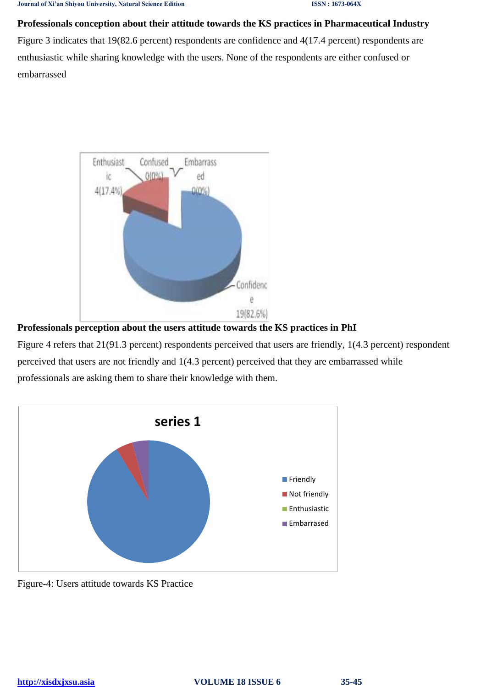**Professionals conception about their attitude towards the KS practices in Pharmaceutical Industry** Figure 3 indicates that 19(82.6 percent) respondents are confidence and 4(17.4 percent) respondents are enthusiastic while sharing knowledge with the users. None of the respondents are either confused or embarrassed



**Professionals perception about the users attitude towards the KS practices in PhI**

Figure 4 refers that 21(91.3 percent) respondents perceived that users are friendly, 1(4.3 percent) respondent perceived that users are not friendly and 1(4.3 percent) perceived that they are embarrassed while professionals are asking them to share their knowledge with them.



Figure-4: Users attitude towards KS Practice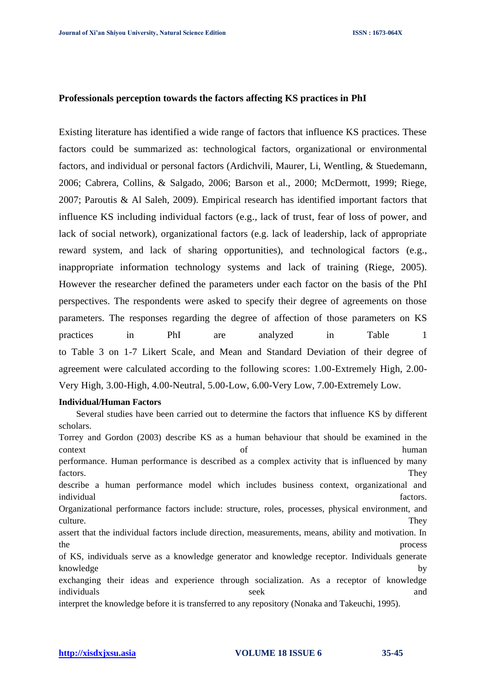#### **Professionals perception towards the factors affecting KS practices in PhI**

Existing literature has identified a wide range of factors that influence KS practices. These factors could be summarized as: technological factors, organizational or environmental factors, and individual or personal factors (Ardichvili, Maurer, Li, Wentling, & Stuedemann, 2006; Cabrera, Collins, & Salgado, 2006; Barson et al., 2000; McDermott, 1999; Riege, 2007; Paroutis & Al Saleh, 2009). Empirical research has identified important factors that influence KS including individual factors (e.g., lack of trust, fear of loss of power, and lack of social network), organizational factors (e.g. lack of leadership, lack of appropriate reward system, and lack of sharing opportunities), and technological factors (e.g., inappropriate information technology systems and lack of training (Riege, 2005). However the researcher defined the parameters under each factor on the basis of the PhI perspectives. The respondents were asked to specify their degree of agreements on those parameters. The responses regarding the degree of affection of those parameters on KS practices in PhI are analyzed in Table 1 to Table 3 on 1-7 Likert Scale, and Mean and Standard Deviation of their degree of agreement were calculated according to the following scores: 1.00-Extremely High, 2.00- Very High, 3.00-High, 4.00-Neutral, 5.00-Low, 6.00-Very Low, 7.00-Extremely Low.

#### **Individual/Human Factors**

Several studies have been carried out to determine the factors that influence KS by different scholars. Torrey and Gordon (2003) describe KS as a human behaviour that should be examined in the context of human performance. Human performance is described as a complex activity that is influenced by many factors. They describe a human performance model which includes business context, organizational and individual factors. Organizational performance factors include: structure, roles, processes, physical environment, and culture. They assert that the individual factors include direction, measurements, means, ability and motivation. In the process process and  $\mu$ of KS, individuals serve as a knowledge generator and knowledge receptor. Individuals generate knowledge by by exchanging their ideas and experience through socialization. As a receptor of knowledge individuals and seek and seek and seek and seek and seek and seek and seek and seek and seek and seek and seek interpret the knowledge before it is transferred to any repository (Nonaka and Takeuchi, 1995).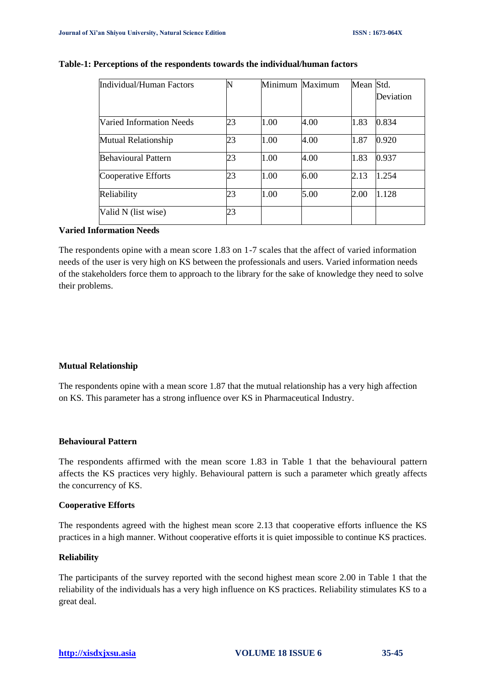| Individual/Human Factors   |    | Minimum Maximum |      | Mean Std. | Deviation |
|----------------------------|----|-----------------|------|-----------|-----------|
| Varied Information Needs   | 23 | 1.00            | 4.00 | 1.83      | 0.834     |
| <b>Mutual Relationship</b> | 23 | 1.00            | 4.00 | 1.87      | 0.920     |
| <b>Behavioural Pattern</b> | 23 | 1.00            | 4.00 | 1.83      | 0.937     |
| Cooperative Efforts        | 23 | 1.00            | 6.00 | 2.13      | 1.254     |
| Reliability                | 23 | 1.00            | 5.00 | 2.00      | 1.128     |
| Valid N (list wise)        | 23 |                 |      |           |           |

#### **Table-1: Perceptions of the respondents towards the individual/human factors**

## **Varied Information Needs**

The respondents opine with a mean score 1.83 on 1-7 scales that the affect of varied information needs of the user is very high on KS between the professionals and users. Varied information needs of the stakeholders force them to approach to the library for the sake of knowledge they need to solve their problems.

#### **Mutual Relationship**

The respondents opine with a mean score 1.87 that the mutual relationship has a very high affection on KS. This parameter has a strong influence over KS in Pharmaceutical Industry.

### **Behavioural Pattern**

The respondents affirmed with the mean score 1.83 in Table 1 that the behavioural pattern affects the KS practices very highly. Behavioural pattern is such a parameter which greatly affects the concurrency of KS.

#### **Cooperative Efforts**

The respondents agreed with the highest mean score 2.13 that cooperative efforts influence the KS practices in a high manner. Without cooperative efforts it is quiet impossible to continue KS practices.

## **Reliability**

The participants of the survey reported with the second highest mean score 2.00 in Table 1 that the reliability of the individuals has a very high influence on KS practices. Reliability stimulates KS to a great deal.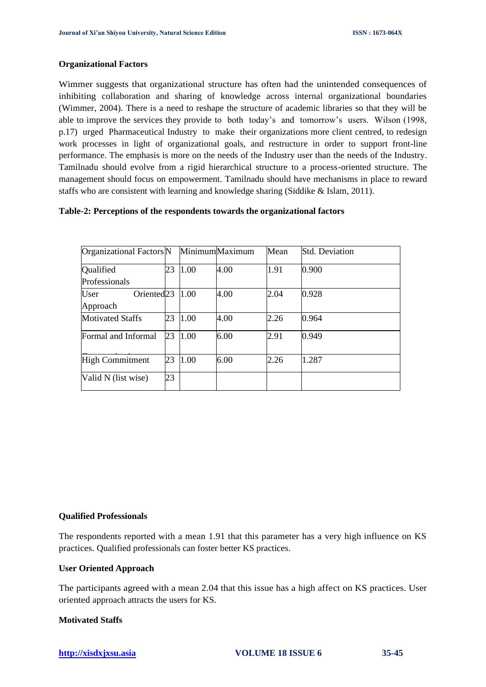#### **Organizational Factors**

Wimmer suggests that organizational structure has often had the unintended consequences of inhibiting collaboration and sharing of knowledge across internal organizational boundaries (Wimmer, 2004). There is a need to reshape the structure of academic libraries so that they will be able to improve the services they provide to both today's and tomorrow's users. Wilson (1998, p.17) urged Pharmaceutical Industry to make their organizations more client centred, to redesign work processes in light of organizational goals, and restructure in order to support front-line performance. The emphasis is more on the needs of the Industry user than the needs of the Industry. Tamilnadu should evolve from a rigid hierarchical structure to a process-oriented structure. The management should focus on empowerment. Tamilnadu should have mechanisms in place to reward staffs who are consistent with learning and knowledge sharing (Siddike & Islam, 2011).

## **Table-2: Perceptions of the respondents towards the organizational factors**

| Organizational Factors N       |    |         | MinimumMaximum | Mean | <b>Std. Deviation</b> |
|--------------------------------|----|---------|----------------|------|-----------------------|
| Qualified                      | 23 | 1.00    | 4.00           | 1.91 | 0.900                 |
| Professionals                  |    |         |                |      |                       |
| Oriented <sub>23</sub><br>User |    | 1.00    | 4.00           | 2.04 | 0.928                 |
| Approach                       |    |         |                |      |                       |
| <b>Motivated Staffs</b>        | 23 | 1.00    | 4.00           | 2.26 | 0.964                 |
| Formal and Informal            |    | 23 1.00 | 6.00           | 2.91 | 0.949                 |
| <b>High Commitment</b>         | 23 | 1.00    | 6.00           | 2.26 | 1.287                 |
| Valid N (list wise)            | 23 |         |                |      |                       |

#### **Qualified Professionals**

The respondents reported with a mean 1.91 that this parameter has a very high influence on KS practices. Qualified professionals can foster better KS practices.

#### **User Oriented Approach**

The participants agreed with a mean 2.04 that this issue has a high affect on KS practices. User oriented approach attracts the users for KS.

## **Motivated Staffs**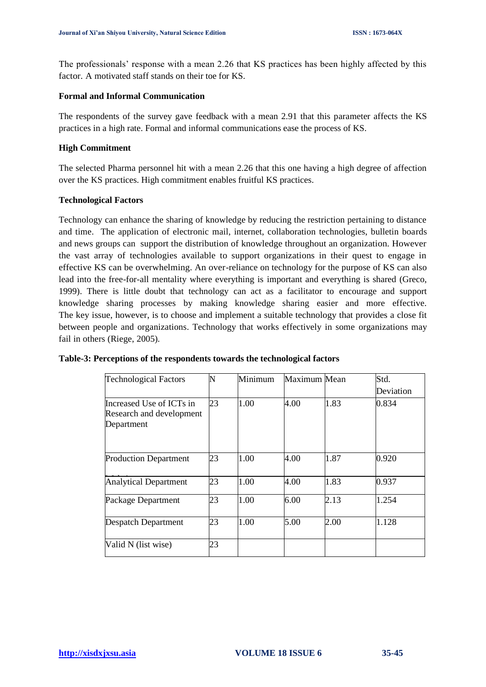The professionals' response with a mean 2.26 that KS practices has been highly affected by this factor. A motivated staff stands on their toe for KS.

#### **Formal and Informal Communication**

The respondents of the survey gave feedback with a mean 2.91 that this parameter affects the KS practices in a high rate. Formal and informal communications ease the process of KS.

## **High Commitment**

The selected Pharma personnel hit with a mean 2.26 that this one having a high degree of affection over the KS practices. High commitment enables fruitful KS practices.

## **Technological Factors**

Technology can enhance the sharing of knowledge by reducing the restriction pertaining to distance and time. The application of electronic mail, internet, collaboration technologies, bulletin boards and news groups can support the distribution of knowledge throughout an organization. However the vast array of technologies available to support organizations in their quest to engage in effective KS can be overwhelming. An over-reliance on technology for the purpose of KS can also lead into the free-for-all mentality where everything is important and everything is shared (Greco, 1999). There is little doubt that technology can act as a facilitator to encourage and support knowledge sharing processes by making knowledge sharing easier and more effective. The key issue, however, is to choose and implement a suitable technology that provides a close fit between people and organizations. Technology that works effectively in some organizations may fail in others (Riege, 2005).

| <b>Technological Factors</b>                                       |    | Minimum | Maximum Mean |      | Std.      |
|--------------------------------------------------------------------|----|---------|--------------|------|-----------|
|                                                                    |    |         |              |      | Deviation |
| Increased Use of ICTs in<br>Research and development<br>Department | 23 | 1.00    | 4.00         | 1.83 | 0.834     |
| <b>Production Department</b>                                       | 23 | 1.00    | 4.00         | 1.87 | 0.920     |
| <b>Analytical Department</b>                                       | 23 | 1.00    | 4.00         | 1.83 | 0.937     |
| Package Department                                                 | 23 | 1.00    | 6.00         | 2.13 | 1.254     |
| <b>Despatch Department</b>                                         | 23 | 1.00    | 5.00         | 2.00 | 1.128     |
| Valid N (list wise)                                                | 23 |         |              |      |           |

#### **Table-3: Perceptions of the respondents towards the technological factors**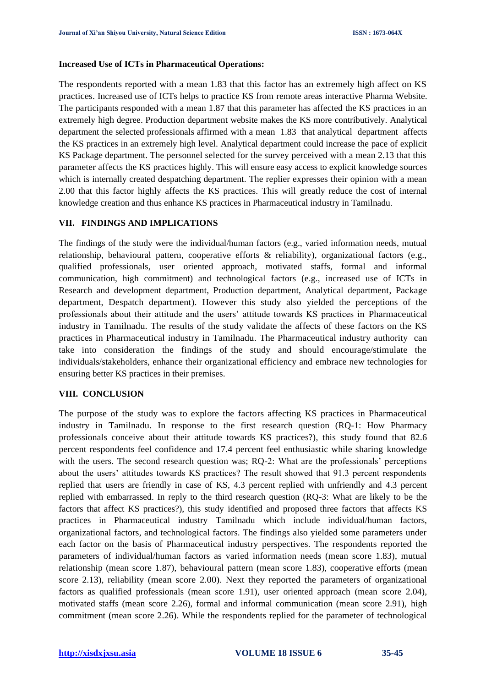#### **Increased Use of ICTs in Pharmaceutical Operations:**

The respondents reported with a mean 1.83 that this factor has an extremely high affect on KS practices. Increased use of ICTs helps to practice KS from remote areas interactive Pharma Website. The participants responded with a mean 1.87 that this parameter has affected the KS practices in an extremely high degree. Production department website makes the KS more contributively. Analytical department the selected professionals affirmed with a mean 1.83 that analytical department affects the KS practices in an extremely high level. Analytical department could increase the pace of explicit KS Package department. The personnel selected for the survey perceived with a mean 2.13 that this parameter affects the KS practices highly. This will ensure easy access to explicit knowledge sources which is internally created despatching department. The replier expresses their opinion with a mean 2.00 that this factor highly affects the KS practices. This will greatly reduce the cost of internal knowledge creation and thus enhance KS practices in Pharmaceutical industry in Tamilnadu.

# **VII. FINDINGS AND IMPLICATIONS**

The findings of the study were the individual/human factors (e.g., varied information needs, mutual relationship, behavioural pattern, cooperative efforts & reliability), organizational factors (e.g., qualified professionals, user oriented approach, motivated staffs, formal and informal communication, high commitment) and technological factors (e.g., increased use of ICTs in Research and development department, Production department, Analytical department, Package department, Despatch department). However this study also yielded the perceptions of the professionals about their attitude and the users' attitude towards KS practices in Pharmaceutical industry in Tamilnadu. The results of the study validate the affects of these factors on the KS practices in Pharmaceutical industry in Tamilnadu. The Pharmaceutical industry authority can take into consideration the findings of the study and should encourage/stimulate the individuals/stakeholders, enhance their organizational efficiency and embrace new technologies for ensuring better KS practices in their premises.

# **VIII. CONCLUSION**

The purpose of the study was to explore the factors affecting KS practices in Pharmaceutical industry in Tamilnadu. In response to the first research question (RQ-1: How Pharmacy professionals conceive about their attitude towards KS practices?), this study found that 82.6 percent respondents feel confidence and 17.4 percent feel enthusiastic while sharing knowledge with the users. The second research question was; RQ-2: What are the professionals' perceptions about the users' attitudes towards KS practices? The result showed that 91.3 percent respondents replied that users are friendly in case of KS, 4.3 percent replied with unfriendly and 4.3 percent replied with embarrassed. In reply to the third research question (RQ-3: What are likely to be the factors that affect KS practices?), this study identified and proposed three factors that affects KS practices in Pharmaceutical industry Tamilnadu which include individual/human factors, organizational factors, and technological factors. The findings also yielded some parameters under each factor on the basis of Pharmaceutical industry perspectives. The respondents reported the parameters of individual/human factors as varied information needs (mean score 1.83), mutual relationship (mean score 1.87), behavioural pattern (mean score 1.83), cooperative efforts (mean score 2.13), reliability (mean score 2.00). Next they reported the parameters of organizational factors as qualified professionals (mean score 1.91), user oriented approach (mean score 2.04), motivated staffs (mean score 2.26), formal and informal communication (mean score 2.91), high commitment (mean score 2.26). While the respondents replied for the parameter of technological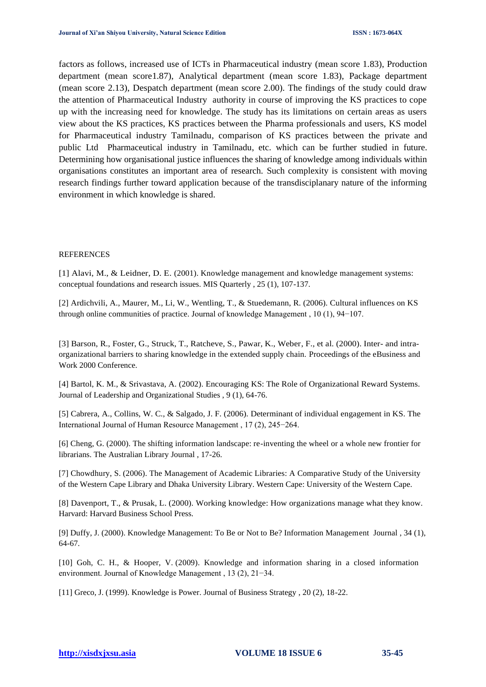factors as follows, increased use of ICTs in Pharmaceutical industry (mean score 1.83), Production department (mean score1.87), Analytical department (mean score 1.83), Package department (mean score 2.13), Despatch department (mean score 2.00). The findings of the study could draw the attention of Pharmaceutical Industry authority in course of improving the KS practices to cope up with the increasing need for knowledge. The study has its limitations on certain areas as users view about the KS practices, KS practices between the Pharma professionals and users, KS model for Pharmaceutical industry Tamilnadu, comparison of KS practices between the private and public Ltd Pharmaceutical industry in Tamilnadu, etc. which can be further studied in future. Determining how organisational justice influences the sharing of knowledge among individuals within organisations constitutes an important area of research. Such complexity is consistent with moving research findings further toward application because of the transdisciplanary nature of the informing environment in which knowledge is shared.

#### **REFERENCES**

[1] Alavi, M., & Leidner, D. E. (2001). Knowledge management and knowledge management systems: conceptual foundations and research issues. MIS Quarterly , 25 (1), 107-137.

[2] Ardichvili, A., Maurer, M., Li, W., Wentling, T., & Stuedemann, R. (2006). Cultural influences on KS through online communities of practice. Journal of knowledge Management , 10 (1), 94−107.

[3] Barson, R., Foster, G., Struck, T., Ratcheve, S., Pawar, K., Weber, F., et al. (2000). Inter- and intraorganizational barriers to sharing knowledge in the extended supply chain. Proceedings of the eBusiness and Work 2000 Conference.

[4] Bartol, K. M., & Srivastava, A. (2002). Encouraging KS: The Role of Organizational Reward Systems. Journal of Leadership and Organizational Studies , 9 (1), 64-76.

[5] Cabrera, A., Collins, W. C., & Salgado, J. F. (2006). Determinant of individual engagement in KS. The International Journal of Human Resource Management , 17 (2), 245−264.

[6] Cheng, G. (2000). The shifting information landscape: re-inventing the wheel or a whole new frontier for librarians. The Australian Library Journal , 17-26.

[7] Chowdhury, S. (2006). The Management of Academic Libraries: A Comparative Study of the University of the Western Cape Library and Dhaka University Library. Western Cape: University of the Western Cape.

[8] Davenport, T., & Prusak, L. (2000). Working knowledge: How organizations manage what they know. Harvard: Harvard Business School Press.

[9] Duffy, J. (2000). Knowledge Management: To Be or Not to Be? Information Management Journal , 34 (1), 64-67.

[10] Goh, C. H., & Hooper, V. (2009). Knowledge and information sharing in a closed information environment. Journal of Knowledge Management , 13 (2), 21−34.

[11] Greco, J. (1999). Knowledge is Power. Journal of Business Strategy , 20 (2), 18-22.